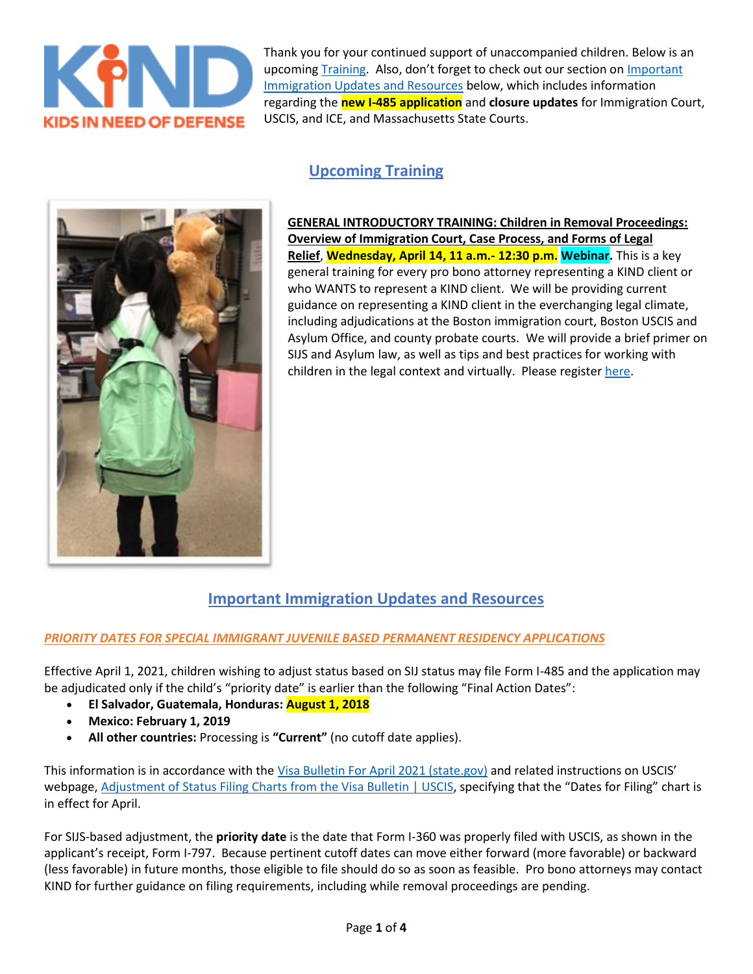

Thank you for your continued support of unaccompanied children. Below is an upcoming [Training.](x-msg://646/#Trainings) Also, don't forget to check out our section on [Important](x-msg://646/#Resources)  [Immigration Updates and Resources](x-msg://646/#Resources) below, which includes information regarding the **new I-485 application** and **closure updates** for Immigration Court, USCIS, and ICE, and Massachusetts State Courts.

# **Upcoming Training**



**GENERAL INTRODUCTORY TRAINING: Children in Removal Proceedings: Overview of Immigration Court, Case Process, and Forms of Legal Relief**, **Wednesday, April 14, 11 a.m.- 12:30 p.m. Webinar.** This is a key general training for every pro bono attorney representing a KIND client or who WANTS to represent a KIND client. We will be providing current guidance on representing a KIND client in the everchanging legal climate, including adjudications at the Boston immigration court, Boston USCIS and Asylum Office, and county probate courts. We will provide a brief primer on SIJS and Asylum law, as well as tips and best practices for working with children in the legal context and virtually. Please register [here.](https://na01.safelinks.protection.outlook.com/?url=https%3A%2F%2Fzoom.us%2Fmeeting%2Fregister%2FtJwvdu2uqjItEtAUmCl24nX9vMjCHlC74MVR&data=04%7C01%7C%7C7e1bded0dad04c6bc10208d8ef93cac3%7C84df9e7fe9f640afb435aaaaaaaaaaaa%7C1%7C0%7C637522765547930165%7CUnknown%7CTWFpbGZsb3d8eyJWIjoiMC4wLjAwMDAiLCJQIjoiV2luMzIiLCJBTiI6Ik1haWwiLCJXVCI6Mn0%3D%7C1000&sdata=oIY7g3RmD2YWRiqOROMMeOZm4l0IVKtznG1RiNvFd1o%3D&reserved=0)

## **Important Immigration Updates and Resources**

### *PRIORITY DATES FOR SPECIAL IMMIGRANT JUVENILE BASED PERMANENT RESIDENCY APPLICATIONS*

Effective April 1, 2021, children wishing to adjust status based on SIJ status may file Form I-485 and the application may be adjudicated only if the child's "priority date" is earlier than the following "Final Action Dates":

- **El Salvador, Guatemala, Honduras: August 1, 2018**
- **Mexico: February 1, 2019**
- **All other countries:** Processing is **"Current"** (no cutoff date applies).

This information is in accordance with the [Visa Bulletin For April 2021 \(state.gov\)](https://na01.safelinks.protection.outlook.com/?url=https%3A%2F%2Ftravel.state.gov%2Fcontent%2Ftravel%2Fen%2Flegal%2Fvisa-law0%2Fvisa-bulletin%2F2021%2Fvisa-bulletin-for-april-2021.html&data=04%7C01%7C%7C7e1bded0dad04c6bc10208d8ef93cac3%7C84df9e7fe9f640afb435aaaaaaaaaaaa%7C1%7C0%7C637522765547930165%7CUnknown%7CTWFpbGZsb3d8eyJWIjoiMC4wLjAwMDAiLCJQIjoiV2luMzIiLCJBTiI6Ik1haWwiLCJXVCI6Mn0%3D%7C1000&sdata=n2gKn3aQJSWKMttVTV65y29RcGy2a5ph9fHUmTL9ApI%3D&reserved=0) and related instructions on USCIS' webpage, [Adjustment of Status Filing Charts from the Visa Bulletin | USCIS](https://na01.safelinks.protection.outlook.com/?url=https%3A%2F%2Fwww.uscis.gov%2Fgreen-card%2Fgreen-card-processes-and-procedures%2Fvisa-availability-priority-dates%2Fadjustment-of-status-filing-charts-from-the-visa-bulletin&data=04%7C01%7C%7C7e1bded0dad04c6bc10208d8ef93cac3%7C84df9e7fe9f640afb435aaaaaaaaaaaa%7C1%7C0%7C637522765547940164%7CUnknown%7CTWFpbGZsb3d8eyJWIjoiMC4wLjAwMDAiLCJQIjoiV2luMzIiLCJBTiI6Ik1haWwiLCJXVCI6Mn0%3D%7C1000&sdata=v13yIhhMcZGpESWRjUeZ6eopMgVHTKW1fxAF5IKIPZE%3D&reserved=0), specifying that the "Dates for Filing" chart is in effect for April.

For SIJS-based adjustment, the **priority date** is the date that Form I-360 was properly filed with USCIS, as shown in the applicant's receipt, Form I-797. Because pertinent cutoff dates can move either forward (more favorable) or backward (less favorable) in future months, those eligible to file should do so as soon as feasible. Pro bono attorneys may contact KIND for further guidance on filing requirements, including while removal proceedings are pending.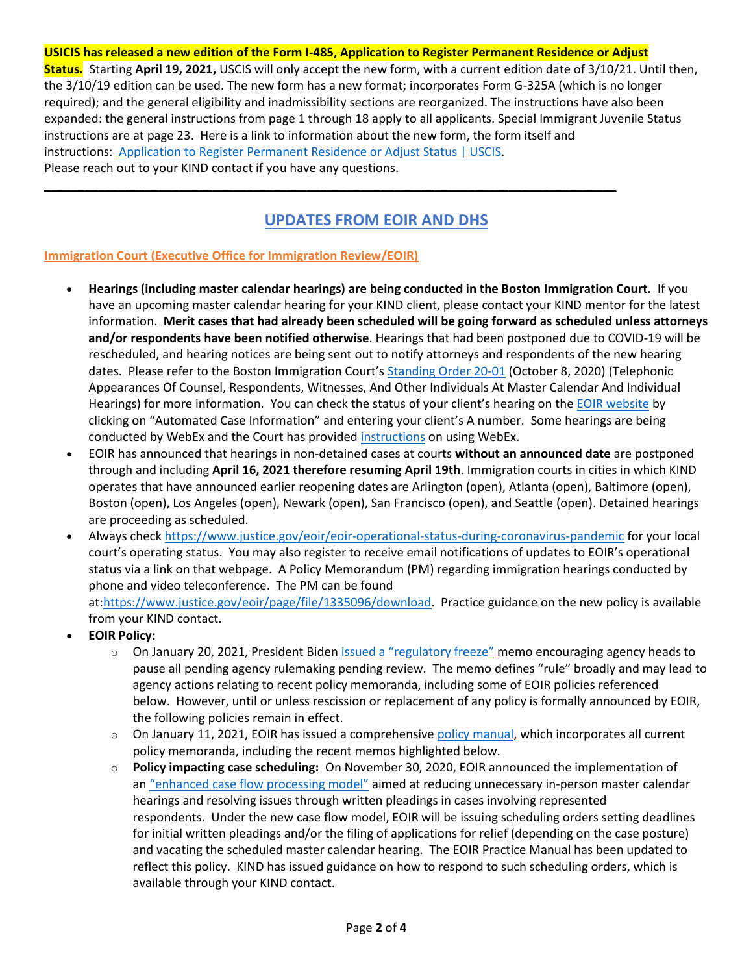**USICIS has released a new edition of the Form I-485, Application to Register Permanent Residence or Adjust Status.** Starting **April 19, 2021,** USCIS will only accept the new form, with a current edition date of 3/10/21. Until then, the 3/10/19 edition can be used. The new form has a new format; incorporates Form G-325A (which is no longer required); and the general eligibility and inadmissibility sections are reorganized. The instructions have also been expanded: the general instructions from page 1 through 18 apply to all applicants. Special Immigrant Juvenile Status instructions are at page 23. Here is a link to information about the new form, the form itself and instructions: [Application to Register Permanent Residence or Adjust Status | USCIS.](https://na01.safelinks.protection.outlook.com/?url=https%3A%2F%2Fwww.uscis.gov%2Fi-485&data=04%7C01%7C%7C7e1bded0dad04c6bc10208d8ef93cac3%7C84df9e7fe9f640afb435aaaaaaaaaaaa%7C1%7C0%7C637522765547940164%7CUnknown%7CTWFpbGZsb3d8eyJWIjoiMC4wLjAwMDAiLCJQIjoiV2luMzIiLCJBTiI6Ik1haWwiLCJXVCI6Mn0%3D%7C1000&sdata=hO%2BxI%2FNLyanA3mrNnEVn1YxmlAOzhqCM%2FsXRXAsElos%3D&reserved=0) Please reach out to your KIND contact if you have any questions.

# **UPDATES FROM EOIR AND DHS**

**\_\_\_\_\_\_\_\_\_\_\_\_\_\_\_\_\_\_\_\_\_\_\_\_\_\_\_\_\_\_\_\_\_\_\_\_\_\_\_\_\_\_\_\_\_\_\_\_\_\_\_\_\_\_\_\_\_\_\_\_\_\_\_\_\_\_\_\_\_\_\_\_\_\_\_\_\_\_\_\_\_\_\_\_\_**

### **Immigration Court (Executive Office for Immigration Review/EOIR)**

- **Hearings (including master calendar hearings) are being conducted in the Boston Immigration Court.** If you have an upcoming master calendar hearing for your KIND client, please contact your KIND mentor for the latest information. **Merit cases that had already been scheduled will be going forward as scheduled unless attorneys and/or respondents have been notified otherwise**. Hearings that had been postponed due to COVID-19 will be rescheduled, and hearing notices are being sent out to notify attorneys and respondents of the new hearing dates. Please refer to the Boston Immigration Court's [Standing Order 20-01](https://na01.safelinks.protection.outlook.com/?url=https%3A%2F%2Fwww.justice.gov%2Feoir%2Fpage%2Ffile%2F1326301%2Fdownload&data=04%7C01%7C%7C7e1bded0dad04c6bc10208d8ef93cac3%7C84df9e7fe9f640afb435aaaaaaaaaaaa%7C1%7C0%7C637522765547950154%7CUnknown%7CTWFpbGZsb3d8eyJWIjoiMC4wLjAwMDAiLCJQIjoiV2luMzIiLCJBTiI6Ik1haWwiLCJXVCI6Mn0%3D%7C1000&sdata=gvD7W1wD6Vr%2BueKY1%2BKkV%2FPKkHB8Nv%2Bhzm2jWOABuA8%3D&reserved=0) (October 8, 2020) (Telephonic Appearances Of Counsel, Respondents, Witnesses, And Other Individuals At Master Calendar And Individual Hearings) for more information. You can check the status of your client's hearing on the [EOIR website](https://na01.safelinks.protection.outlook.com/?url=https%3A%2F%2Fportal.eoir.justice.gov%2F&data=04%7C01%7C%7C7e1bded0dad04c6bc10208d8ef93cac3%7C84df9e7fe9f640afb435aaaaaaaaaaaa%7C1%7C0%7C637522765547950154%7CUnknown%7CTWFpbGZsb3d8eyJWIjoiMC4wLjAwMDAiLCJQIjoiV2luMzIiLCJBTiI6Ik1haWwiLCJXVCI6Mn0%3D%7C1000&sdata=Qt8lZnm2Vf8AzsSvOXvZAx1TNSSLTo0xWW8Gsq5VHYM%3D&reserved=0) by clicking on "Automated Case Information" and entering your client's A number. Some hearings are being conducted by WebEx and the Court has provided [instructions](https://na01.safelinks.protection.outlook.com/?url=https%3A%2F%2Fwww.justice.gov%2Feoir%2Fpage%2Ffile%2F1339071%2Fdownload&data=04%7C01%7C%7C7e1bded0dad04c6bc10208d8ef93cac3%7C84df9e7fe9f640afb435aaaaaaaaaaaa%7C1%7C0%7C637522765547960148%7CUnknown%7CTWFpbGZsb3d8eyJWIjoiMC4wLjAwMDAiLCJQIjoiV2luMzIiLCJBTiI6Ik1haWwiLCJXVCI6Mn0%3D%7C1000&sdata=uJ4CinUUt6MBdaV7gMzwiKjJwMOh9rbojErVks%2B%2FrCs%3D&reserved=0) on using WebEx.
- EOIR has announced that hearings in non-detained cases at courts **without an announced date** are postponed through and including **April 16, 2021 therefore resuming April 19th**. Immigration courts in cities in which KIND operates that have announced earlier reopening dates are Arlington (open), Atlanta (open), Baltimore (open), Boston (open), Los Angeles (open), Newark (open), San Francisco (open), and Seattle (open). Detained hearings are proceeding as scheduled.
- Always check [https://www.justice.gov/eoir/eoir-operational-status-during-coronavirus-pandemic](https://na01.safelinks.protection.outlook.com/?url=https%3A%2F%2Fwww.justice.gov%2Feoir%2Feoir-operational-status-during-coronavirus-pandemic&data=04%7C01%7C%7C7e1bded0dad04c6bc10208d8ef93cac3%7C84df9e7fe9f640afb435aaaaaaaaaaaa%7C1%7C0%7C637522765547960148%7CUnknown%7CTWFpbGZsb3d8eyJWIjoiMC4wLjAwMDAiLCJQIjoiV2luMzIiLCJBTiI6Ik1haWwiLCJXVCI6Mn0%3D%7C1000&sdata=ZvWhMiVOtWpWZfe46Rh8sa%2Bfh9fd%2F7C9UF1GTYH3RUg%3D&reserved=0) for your local court's operating status. You may also register to receive email notifications of updates to EOIR's operational status via a link on that webpage. A Policy Memorandum (PM) regarding immigration hearings conducted by phone and video teleconference. The PM can be found

at[:https://www.justice.gov/eoir/page/file/1335096/download.](https://na01.safelinks.protection.outlook.com/?url=https%3A%2F%2Fwww.justice.gov%2Feoir%2Fpage%2Ffile%2F1335096%2Fdownload&data=04%7C01%7C%7C7e1bded0dad04c6bc10208d8ef93cac3%7C84df9e7fe9f640afb435aaaaaaaaaaaa%7C1%7C0%7C637522765547970144%7CUnknown%7CTWFpbGZsb3d8eyJWIjoiMC4wLjAwMDAiLCJQIjoiV2luMzIiLCJBTiI6Ik1haWwiLCJXVCI6Mn0%3D%7C1000&sdata=11WavNQtw5fL5WL7ftCCi2F7u6KuSahxP%2BCvBVbp4V8%3D&reserved=0) Practice guidance on the new policy is available from your KIND contact.

- **EOIR Policy:**
	- $\circ$  On January 20, 2021, President Biden [issued a "regulatory freeze"](https://na01.safelinks.protection.outlook.com/?url=https%3A%2F%2Fwww.whitehouse.gov%2Fbriefing-room%2Fpresidential-actions%2F2021%2F01%2F20%2Fregulatory-freeze-pending-review%2F&data=04%7C01%7C%7C7e1bded0dad04c6bc10208d8ef93cac3%7C84df9e7fe9f640afb435aaaaaaaaaaaa%7C1%7C0%7C637522765547970144%7CUnknown%7CTWFpbGZsb3d8eyJWIjoiMC4wLjAwMDAiLCJQIjoiV2luMzIiLCJBTiI6Ik1haWwiLCJXVCI6Mn0%3D%7C1000&sdata=QKDHJm5L99OLVwx15I3GVRgZ4Hx4XMsOXdbMxJWBwvM%3D&reserved=0) memo encouraging agency heads to pause all pending agency rulemaking pending review. The memo defines "rule" broadly and may lead to agency actions relating to recent policy memoranda, including some of EOIR policies referenced below. However, until or unless rescission or replacement of any policy is formally announced by EOIR, the following policies remain in effect.
	- $\circ$  On January 11, 2021, EOIR has issued a comprehensive [policy manual,](https://na01.safelinks.protection.outlook.com/?url=https%3A%2F%2Fwww.justice.gov%2Feoir%2Feoir-policy-manual&data=04%7C01%7C%7C7e1bded0dad04c6bc10208d8ef93cac3%7C84df9e7fe9f640afb435aaaaaaaaaaaa%7C1%7C0%7C637522765547980137%7CUnknown%7CTWFpbGZsb3d8eyJWIjoiMC4wLjAwMDAiLCJQIjoiV2luMzIiLCJBTiI6Ik1haWwiLCJXVCI6Mn0%3D%7C1000&sdata=DeIMAFo%2BysvRhZk0djg09iSWn0UF4YEiXBA2M3gXbV0%3D&reserved=0) which incorporates all current policy memoranda, including the recent memos highlighted below.
	- o **Policy impacting case scheduling:** On November 30, 2020, EOIR announced the implementation of an ["enhanced case flow processing model"](https://na01.safelinks.protection.outlook.com/?url=https%3A%2F%2Fwww.justice.gov%2Feoir%2Feoir-policy-manual%2FOOD2105%2Fdownload&data=04%7C01%7C%7C7e1bded0dad04c6bc10208d8ef93cac3%7C84df9e7fe9f640afb435aaaaaaaaaaaa%7C1%7C0%7C637522765547980137%7CUnknown%7CTWFpbGZsb3d8eyJWIjoiMC4wLjAwMDAiLCJQIjoiV2luMzIiLCJBTiI6Ik1haWwiLCJXVCI6Mn0%3D%7C1000&sdata=CWN9A4waqRxAAnMnfLiCxOl%2FGE3hW8qylAqlAqyO4Cg%3D&reserved=0) aimed at reducing unnecessary in-person master calendar hearings and resolving issues through written pleadings in cases involving represented respondents. Under the new case flow model, EOIR will be issuing scheduling orders setting deadlines for initial written pleadings and/or the filing of applications for relief (depending on the case posture) and vacating the scheduled master calendar hearing. The EOIR Practice Manual has been updated to reflect this policy. KIND has issued guidance on how to respond to such scheduling orders, which is available through your KIND contact.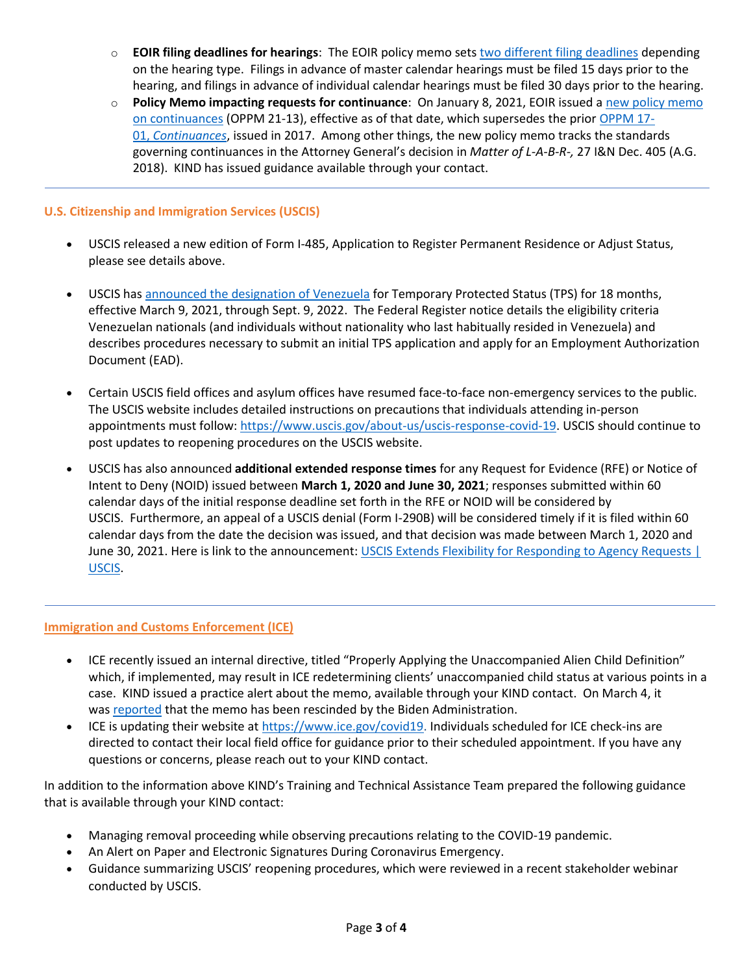- o **EOIR filing deadlines for hearings**: The EOIR policy memo sets [two different filing deadlines](https://na01.safelinks.protection.outlook.com/?url=https%3A%2F%2Fwww.justice.gov%2Feoir%2Feoir-policy-manual%2Fii%2F3%2F1&data=04%7C01%7C%7C7e1bded0dad04c6bc10208d8ef93cac3%7C84df9e7fe9f640afb435aaaaaaaaaaaa%7C1%7C0%7C637522765547990131%7CUnknown%7CTWFpbGZsb3d8eyJWIjoiMC4wLjAwMDAiLCJQIjoiV2luMzIiLCJBTiI6Ik1haWwiLCJXVCI6Mn0%3D%7C1000&sdata=M6bRgBNt5lownPWyboIZ7EdW%2FJFT9Dm6IDAMbWX0VKc%3D&reserved=0) depending on the hearing type. Filings in advance of master calendar hearings must be filed 15 days prior to the hearing, and filings in advance of individual calendar hearings must be filed 30 days prior to the hearing.
- o **Policy Memo impacting requests for continuance**: On January 8, 2021, EOIR issued a [new policy memo](https://na01.safelinks.protection.outlook.com/?url=https%3A%2F%2Fwww.justice.gov%2Feoir%2Fpage%2Ffile%2F1351816%2Fdownload&data=04%7C01%7C%7C7e1bded0dad04c6bc10208d8ef93cac3%7C84df9e7fe9f640afb435aaaaaaaaaaaa%7C1%7C0%7C637522765547990131%7CUnknown%7CTWFpbGZsb3d8eyJWIjoiMC4wLjAwMDAiLCJQIjoiV2luMzIiLCJBTiI6Ik1haWwiLCJXVCI6Mn0%3D%7C1000&sdata=J0n3%2Bbi3fFWCAvynRzeFksLJ51uE1WG%2FgU7dG%2BI%2Btpg%3D&reserved=0)  [on continuances](https://na01.safelinks.protection.outlook.com/?url=https%3A%2F%2Fwww.justice.gov%2Feoir%2Fpage%2Ffile%2F1351816%2Fdownload&data=04%7C01%7C%7C7e1bded0dad04c6bc10208d8ef93cac3%7C84df9e7fe9f640afb435aaaaaaaaaaaa%7C1%7C0%7C637522765547990131%7CUnknown%7CTWFpbGZsb3d8eyJWIjoiMC4wLjAwMDAiLCJQIjoiV2luMzIiLCJBTiI6Ik1haWwiLCJXVCI6Mn0%3D%7C1000&sdata=J0n3%2Bbi3fFWCAvynRzeFksLJ51uE1WG%2FgU7dG%2BI%2Btpg%3D&reserved=0) (OPPM 21-13), effective as of that date, which supersedes the prior [OPPM 17-](https://na01.safelinks.protection.outlook.com/?url=https%3A%2F%2Fwww.justice.gov%2Feoir%2Ffile%2Foppm17-01%2Fdownload&data=04%7C01%7C%7C7e1bded0dad04c6bc10208d8ef93cac3%7C84df9e7fe9f640afb435aaaaaaaaaaaa%7C1%7C0%7C637522765547990131%7CUnknown%7CTWFpbGZsb3d8eyJWIjoiMC4wLjAwMDAiLCJQIjoiV2luMzIiLCJBTiI6Ik1haWwiLCJXVCI6Mn0%3D%7C1000&sdata=Yyc1spPX4GlC12o2DAM5Ur%2FbahNiGK%2BLO0%2FD1F7Xuhs%3D&reserved=0) 01, *[Continuances](https://na01.safelinks.protection.outlook.com/?url=https%3A%2F%2Fwww.justice.gov%2Feoir%2Ffile%2Foppm17-01%2Fdownload&data=04%7C01%7C%7C7e1bded0dad04c6bc10208d8ef93cac3%7C84df9e7fe9f640afb435aaaaaaaaaaaa%7C1%7C0%7C637522765547990131%7CUnknown%7CTWFpbGZsb3d8eyJWIjoiMC4wLjAwMDAiLCJQIjoiV2luMzIiLCJBTiI6Ik1haWwiLCJXVCI6Mn0%3D%7C1000&sdata=Yyc1spPX4GlC12o2DAM5Ur%2FbahNiGK%2BLO0%2FD1F7Xuhs%3D&reserved=0)*, issued in 2017. Among other things, the new policy memo tracks the standards governing continuances in the Attorney General's decision in *Matter of L-A-B-R-,* 27 I&N Dec. 405 (A.G. 2018). KIND has issued guidance available through your contact.

#### **U.S. Citizenship and Immigration Services (USCIS)**

- USCIS released a new edition of Form I-485, Application to Register Permanent Residence or Adjust Status, please see details above.
- USCIS has [announced the designation of Venezuela](https://na01.safelinks.protection.outlook.com/?url=https%3A%2F%2Fwww.federalregister.gov%2Fdocuments%2F2021%2F03%2F09%2F2021-04951%2Fdesignation-of-venezuela-for-temporary-protected-status-and-implementation-of-employment&data=04%7C01%7C%7C7e1bded0dad04c6bc10208d8ef93cac3%7C84df9e7fe9f640afb435aaaaaaaaaaaa%7C1%7C0%7C637522765548000127%7CUnknown%7CTWFpbGZsb3d8eyJWIjoiMC4wLjAwMDAiLCJQIjoiV2luMzIiLCJBTiI6Ik1haWwiLCJXVCI6Mn0%3D%7C1000&sdata=Kc9QO%2B6uYvN6HveFlWwZiEGFxHPJN8nWYUj5WMNCO3U%3D&reserved=0) for Temporary Protected Status (TPS) for 18 months, effective March 9, 2021, through Sept. 9, 2022. The Federal Register notice details the eligibility criteria Venezuelan nationals (and individuals without nationality who last habitually resided in Venezuela) and describes procedures necessary to submit an initial TPS application and apply for an Employment Authorization Document (EAD).
- Certain USCIS field offices and asylum offices have resumed face-to-face non-emergency services to the public. The USCIS website includes detailed instructions on precautions that individuals attending in-person appointments must follow: [https://www.uscis.gov/about-us/uscis-response-covid-19.](https://na01.safelinks.protection.outlook.com/?url=https%3A%2F%2Fwww.uscis.gov%2Fabout-us%2Fuscis-response-covid-19&data=04%7C01%7C%7C7e1bded0dad04c6bc10208d8ef93cac3%7C84df9e7fe9f640afb435aaaaaaaaaaaa%7C1%7C0%7C637522765548000127%7CUnknown%7CTWFpbGZsb3d8eyJWIjoiMC4wLjAwMDAiLCJQIjoiV2luMzIiLCJBTiI6Ik1haWwiLCJXVCI6Mn0%3D%7C1000&sdata=uMkAwOqyzavj4KMYpbsXiuJx5m9QH9A2MeTkDjZUXJQ%3D&reserved=0) USCIS should continue to post updates to reopening procedures on the USCIS website.
- USCIS has also announced **additional extended response times** for any Request for Evidence (RFE) or Notice of Intent to Deny (NOID) issued between **March 1, 2020 and June 30, 2021**; responses submitted within 60 calendar days of the initial response deadline set forth in the RFE or NOID will be considered by USCIS. Furthermore, an appeal of a USCIS denial (Form I-290B) will be considered timely if it is filed within 60 calendar days from the date the decision was issued, and that decision was made between March 1, 2020 and June 30, 2021. Here is link to the announcement: [USCIS Extends Flexibility for Responding to Agency Requests |](https://na01.safelinks.protection.outlook.com/?url=https%3A%2F%2Fwww.uscis.gov%2Fnews%2Falerts%2Fuscis-extends-flexibility-for-responding-to-agency-requests-4&data=04%7C01%7C%7C7e1bded0dad04c6bc10208d8ef93cac3%7C84df9e7fe9f640afb435aaaaaaaaaaaa%7C1%7C0%7C637522765548010120%7CUnknown%7CTWFpbGZsb3d8eyJWIjoiMC4wLjAwMDAiLCJQIjoiV2luMzIiLCJBTiI6Ik1haWwiLCJXVCI6Mn0%3D%7C1000&sdata=hubuM6pbJyRmHDGp66dTXd%2FZ5yeX8AOm1Lpkugly8Zc%3D&reserved=0)  [USCIS.](https://na01.safelinks.protection.outlook.com/?url=https%3A%2F%2Fwww.uscis.gov%2Fnews%2Falerts%2Fuscis-extends-flexibility-for-responding-to-agency-requests-4&data=04%7C01%7C%7C7e1bded0dad04c6bc10208d8ef93cac3%7C84df9e7fe9f640afb435aaaaaaaaaaaa%7C1%7C0%7C637522765548010120%7CUnknown%7CTWFpbGZsb3d8eyJWIjoiMC4wLjAwMDAiLCJQIjoiV2luMzIiLCJBTiI6Ik1haWwiLCJXVCI6Mn0%3D%7C1000&sdata=hubuM6pbJyRmHDGp66dTXd%2FZ5yeX8AOm1Lpkugly8Zc%3D&reserved=0)

#### **Immigration and Customs Enforcement (ICE)**

- ICE recently issued an internal directive, titled "Properly Applying the Unaccompanied Alien Child Definition" which, if implemented, may result in ICE redetermining clients' unaccompanied child status at various points in a case. KIND issued a practice alert about the memo, available through your KIND contact. On March 4, it was [reported](https://na01.safelinks.protection.outlook.com/?url=https%3A%2F%2Fwww.buzzfeednews.com%2Farticle%2Fhamedaleaziz%2Fbiden-cancels-trump-policy-immigrant-children-asylum&data=04%7C01%7C%7C7e1bded0dad04c6bc10208d8ef93cac3%7C84df9e7fe9f640afb435aaaaaaaaaaaa%7C1%7C0%7C637522765548010120%7CUnknown%7CTWFpbGZsb3d8eyJWIjoiMC4wLjAwMDAiLCJQIjoiV2luMzIiLCJBTiI6Ik1haWwiLCJXVCI6Mn0%3D%7C1000&sdata=JKXf5JYrPa%2F9lJseIoVY7FdLf1LabB3LyyXpHSxMcag%3D&reserved=0) that the memo has been rescinded by the Biden Administration.
- ICE is updating their website at [https://www.ice.gov/covid19.](https://na01.safelinks.protection.outlook.com/?url=https%3A%2F%2Fwww.ice.gov%2Fcovid19&data=04%7C01%7C%7C7e1bded0dad04c6bc10208d8ef93cac3%7C84df9e7fe9f640afb435aaaaaaaaaaaa%7C1%7C0%7C637522765548020114%7CUnknown%7CTWFpbGZsb3d8eyJWIjoiMC4wLjAwMDAiLCJQIjoiV2luMzIiLCJBTiI6Ik1haWwiLCJXVCI6Mn0%3D%7C1000&sdata=D0grgnadBKnLJbC%2F78xFc%2FhhagXjBZqUmIlTenfWnAU%3D&reserved=0) Individuals scheduled for ICE check-ins are directed to contact their local field office for guidance prior to their scheduled appointment. If you have any questions or concerns, please reach out to your KIND contact.

In addition to the information above KIND's Training and Technical Assistance Team prepared the following guidance that is available through your KIND contact:

- Managing removal proceeding while observing precautions relating to the COVID-19 pandemic.
- An Alert on Paper and Electronic Signatures During Coronavirus Emergency.
- Guidance summarizing USCIS' reopening procedures, which were reviewed in a recent stakeholder webinar conducted by USCIS.